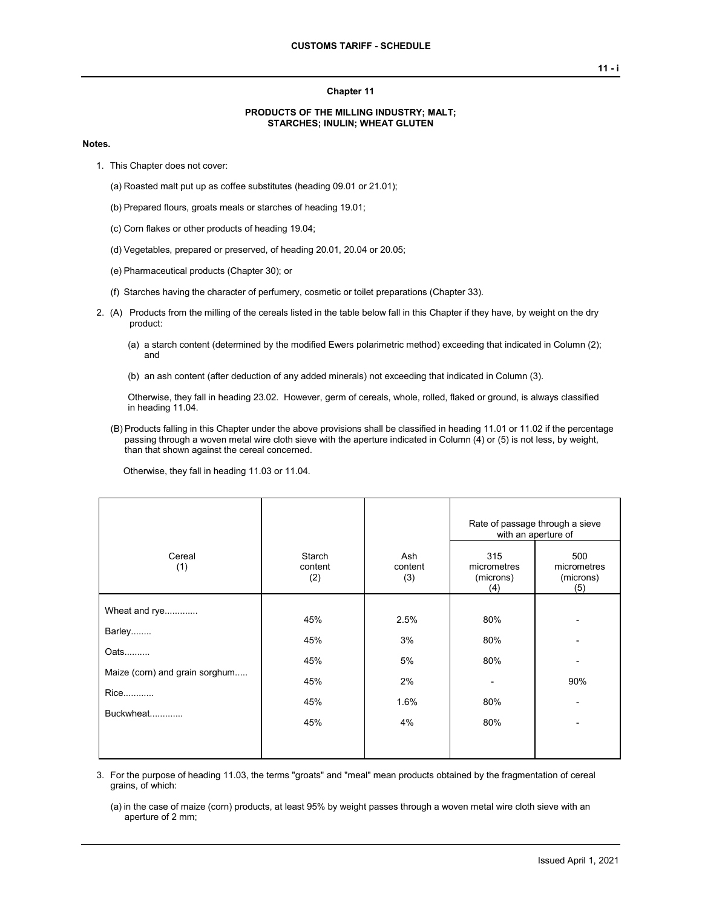#### **Chapter 11**

### **PRODUCTS OF THE MILLING INDUSTRY; MALT; STARCHES; INULIN; WHEAT GLUTEN**

#### **Notes.**

- 1. This Chapter does not cover:
	- (a) Roasted malt put up as coffee substitutes (heading 09.01 or 21.01);
	- (b) Prepared flours, groats meals or starches of heading 19.01;
	- (c) Corn flakes or other products of heading 19.04;
	- (d) Vegetables, prepared or preserved, of heading 20.01, 20.04 or 20.05;
	- (e) Pharmaceutical products (Chapter 30); or
	- (f) Starches having the character of perfumery, cosmetic or toilet preparations (Chapter 33).
- 2. (A) Products from the milling of the cereals listed in the table below fall in this Chapter if they have, by weight on the dry product:
	- (a) a starch content (determined by the modified Ewers polarimetric method) exceeding that indicated in Column (2); and
	- (b) an ash content (after deduction of any added minerals) not exceeding that indicated in Column (3).

Otherwise, they fall in heading 23.02. However, germ of cereals, whole, rolled, flaked or ground, is always classified in heading 11.04.

(B) Products falling in this Chapter under the above provisions shall be classified in heading 11.01 or 11.02 if the percentage passing through a woven metal wire cloth sieve with the aperture indicated in Column (4) or (5) is not less, by weight, than that shown against the cereal concerned.

Otherwise, they fall in heading 11.03 or 11.04.

|                                                                           |                          |                        | Rate of passage through a sieve<br>with an aperture of |                                        |  |
|---------------------------------------------------------------------------|--------------------------|------------------------|--------------------------------------------------------|----------------------------------------|--|
| Cereal<br>(1)                                                             | Starch<br>content<br>(2) | Ash<br>content<br>(3)  | 315<br>micrometres<br>(microns)<br>(4)                 | 500<br>micrometres<br>(microns)<br>(5) |  |
| Wheat and rye<br>Barley<br>Oats<br>Maize (corn) and grain sorghum<br>Rice | 45%<br>45%<br>45%<br>45% | 2.5%<br>3%<br>5%<br>2% | 80%<br>80%<br>80%                                      | 90%                                    |  |
| Buckwheat                                                                 | 45%<br>45%               | 1.6%<br>4%             | 80%<br>80%                                             |                                        |  |

3. For the purpose of heading 11.03, the terms "groats" and "meal" mean products obtained by the fragmentation of cereal grains, of which:

(a) in the case of maize (corn) products, at least 95% by weight passes through a woven metal wire cloth sieve with an aperture of 2 mm;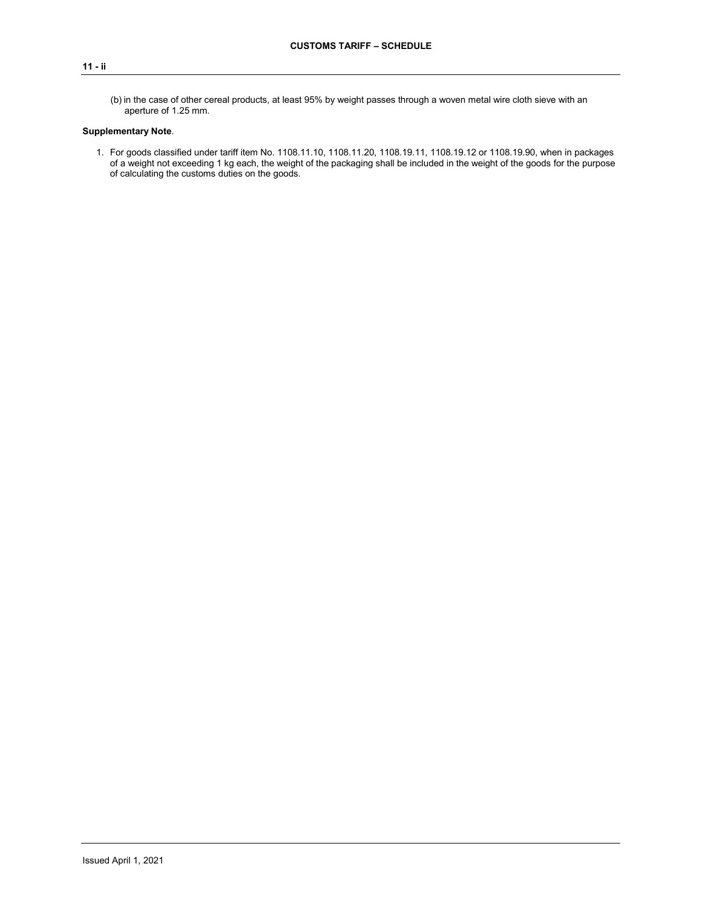### **11 - ii**

(b) in the case of other cereal products, at least 95% by weight passes through a woven metal wire cloth sieve with an aperture of 1.25 mm.

## **Supplementary Note**.

1. For goods classified under tariff item No. 1108.11.10, 1108.11.20, 1108.19.11, 1108.19.12 or 1108.19.90, when in packages of a weight not exceeding 1 kg each, the weight of the packaging shall be included in the weight of the goods for the purpose of calculating the customs duties on the goods.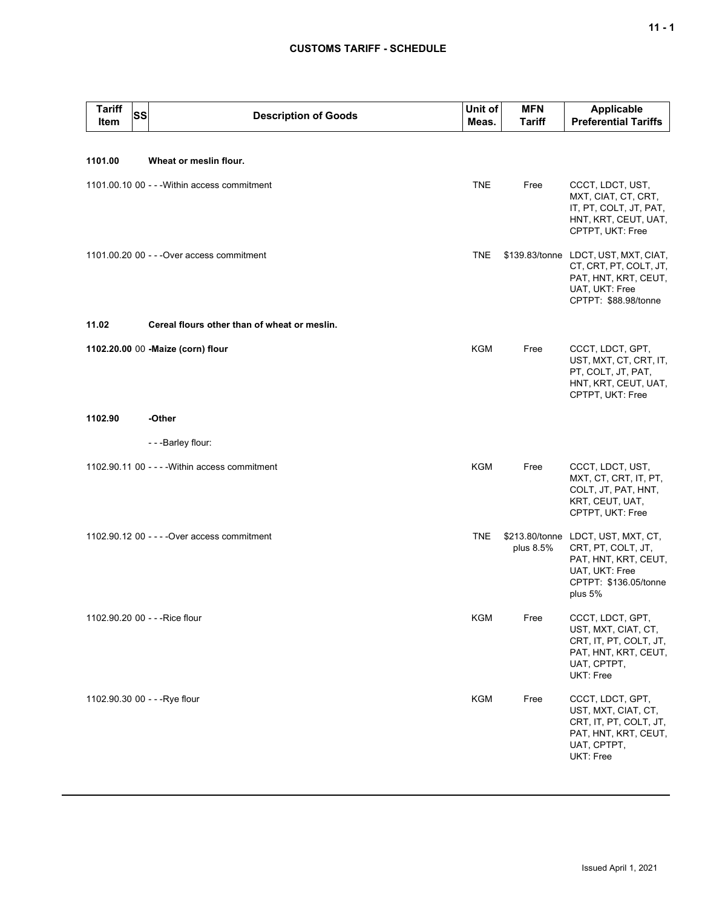## **CUSTOMS TARIFF - SCHEDULE**

| <b>Tariff</b><br>Item | SS | <b>Description of Goods</b>                    | Unit of<br>Meas. | <b>MFN</b><br><b>Tariff</b> | Applicable<br><b>Preferential Tariffs</b>                                                                                        |
|-----------------------|----|------------------------------------------------|------------------|-----------------------------|----------------------------------------------------------------------------------------------------------------------------------|
|                       |    |                                                |                  |                             |                                                                                                                                  |
| 1101.00               |    | Wheat or meslin flour.                         |                  |                             |                                                                                                                                  |
|                       |    | 1101.00.10 00 - - - Within access commitment   | <b>TNE</b>       | Free                        | CCCT, LDCT, UST,<br>MXT, CIAT, CT, CRT,<br>IT, PT, COLT, JT, PAT,<br>HNT, KRT, CEUT, UAT,<br>CPTPT, UKT: Free                    |
|                       |    | 1101.00.20 00 - - - Over access commitment     | <b>TNE</b>       |                             | \$139.83/tonne LDCT, UST, MXT, CIAT,<br>CT, CRT, PT, COLT, JT,<br>PAT, HNT, KRT, CEUT,<br>UAT, UKT: Free<br>CPTPT: \$88.98/tonne |
| 11.02                 |    | Cereal flours other than of wheat or meslin.   |                  |                             |                                                                                                                                  |
|                       |    | 1102.20.00 00 - Maize (corn) flour             | KGM              | Free                        | CCCT, LDCT, GPT,<br>UST, MXT, CT, CRT, IT,<br>PT, COLT, JT, PAT,<br>HNT, KRT, CEUT, UAT,<br>CPTPT, UKT: Free                     |
| 1102.90               |    | -Other                                         |                  |                             |                                                                                                                                  |
|                       |    | - - - Barley flour:                            |                  |                             |                                                                                                                                  |
|                       |    | 1102.90.11 00 - - - - Within access commitment | <b>KGM</b>       | Free                        | CCCT, LDCT, UST,<br>MXT, CT, CRT, IT, PT,<br>COLT, JT, PAT, HNT,<br>KRT, CEUT, UAT,<br>CPTPT, UKT: Free                          |
|                       |    | 1102.90.12 00 - - - - Over access commitment   | <b>TNE</b>       | \$213.80/tonne<br>plus 8.5% | LDCT, UST, MXT, CT,<br>CRT, PT, COLT, JT,<br>PAT, HNT, KRT, CEUT,<br>UAT, UKT: Free<br>CPTPT: \$136.05/tonne<br>plus 5%          |
|                       |    | 1102.90.20 00 - - - Rice flour                 | KGM              | Free                        | CCCT, LDCT, GPT,<br>UST, MXT, CIAT, CT,<br>CRT, IT, PT, COLT, JT,<br>PAT, HNT, KRT, CEUT,<br>UAT, CPTPT,<br>UKT: Free            |
|                       |    | 1102.90.30 00 - - - Rye flour                  | <b>KGM</b>       | Free                        | CCCT, LDCT, GPT,<br>UST, MXT, CIAT, CT,<br>CRT, IT, PT, COLT, JT,<br>PAT, HNT, KRT, CEUT,<br>UAT, CPTPT,<br>UKT: Free            |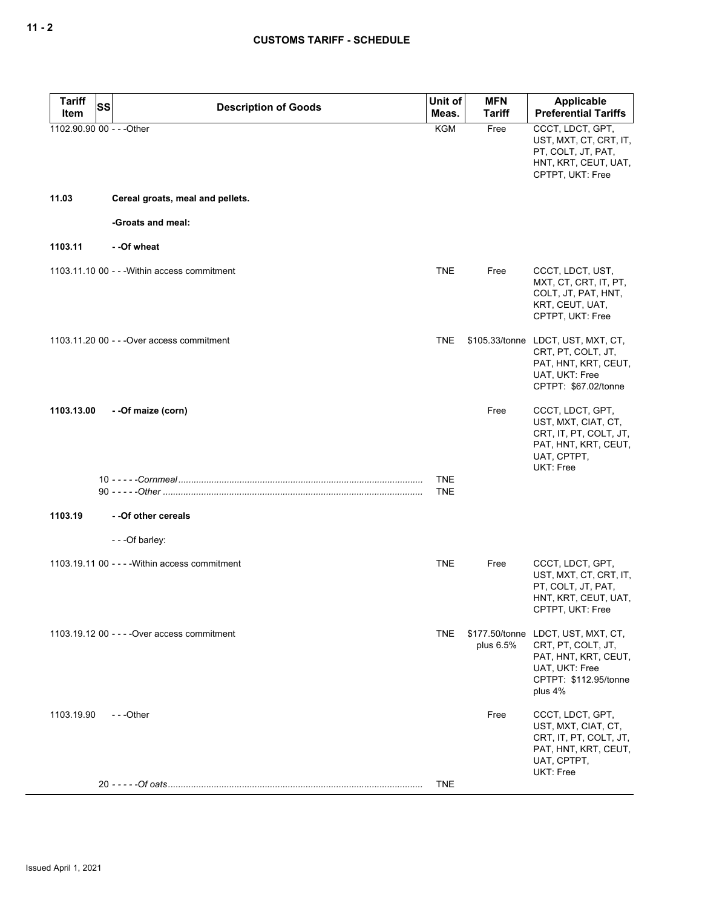| <b>Tariff</b><br>SS       | <b>Description of Goods</b>                    | Unit of                  | <b>MFN</b>    | <b>Applicable</b>                                                                                                                      |
|---------------------------|------------------------------------------------|--------------------------|---------------|----------------------------------------------------------------------------------------------------------------------------------------|
| Item                      |                                                | Meas.                    | <b>Tariff</b> | <b>Preferential Tariffs</b>                                                                                                            |
| 1102.90.90 00 - - - Other |                                                | <b>KGM</b>               | Free          | CCCT, LDCT, GPT,<br>UST, MXT, CT, CRT, IT,<br>PT, COLT, JT, PAT,<br>HNT, KRT, CEUT, UAT,<br>CPTPT, UKT: Free                           |
| 11.03                     | Cereal groats, meal and pellets.               |                          |               |                                                                                                                                        |
|                           | -Groats and meal:                              |                          |               |                                                                                                                                        |
| 1103.11                   | - -Of wheat                                    |                          |               |                                                                                                                                        |
|                           | 1103.11.10 00 - - - Within access commitment   | <b>TNE</b>               | Free          | CCCT, LDCT, UST,<br>MXT, CT, CRT, IT, PT,<br>COLT, JT, PAT, HNT,<br>KRT, CEUT, UAT,<br>CPTPT, UKT: Free                                |
|                           | 1103.11.20 00 - - - Over access commitment     | <b>TNE</b>               |               | \$105.33/tonne LDCT, UST, MXT, CT,<br>CRT, PT, COLT, JT,<br>PAT, HNT, KRT, CEUT,<br>UAT, UKT: Free<br>CPTPT: \$67.02/tonne             |
| 1103.13.00                | - - Of maize (corn)                            |                          | Free          | CCCT, LDCT, GPT,<br>UST, MXT, CIAT, CT,<br>CRT, IT, PT, COLT, JT,<br>PAT, HNT, KRT, CEUT,<br>UAT, CPTPT,<br>UKT: Free                  |
|                           |                                                | <b>TNE</b><br><b>TNE</b> |               |                                                                                                                                        |
| 1103.19                   | - - Of other cereals                           |                          |               |                                                                                                                                        |
|                           | - - - Of barley:                               |                          |               |                                                                                                                                        |
|                           | 1103.19.11 00 - - - - Within access commitment | <b>TNE</b>               | Free          | CCCT, LDCT, GPT,<br>UST, MXT, CT, CRT, IT,<br>PT, COLT, JT, PAT,<br>HNT, KRT, CEUT, UAT,<br>CPTPT, UKT: Free                           |
|                           | 1103.19.12 00 - - - - Over access commitment   | <b>TNE</b>               | plus 6.5%     | \$177.50/tonne LDCT, UST, MXT, CT,<br>CRT, PT, COLT, JT,<br>PAT, HNT, KRT, CEUT,<br>UAT, UKT: Free<br>CPTPT: \$112.95/tonne<br>plus 4% |
| 1103.19.90                | ---Other                                       |                          | Free          | CCCT, LDCT, GPT,<br>UST, MXT, CIAT, CT,<br>CRT, IT, PT, COLT, JT,<br>PAT, HNT, KRT, CEUT,<br>UAT, CPTPT,<br>UKT: Free                  |
|                           |                                                | <b>TNE</b>               |               |                                                                                                                                        |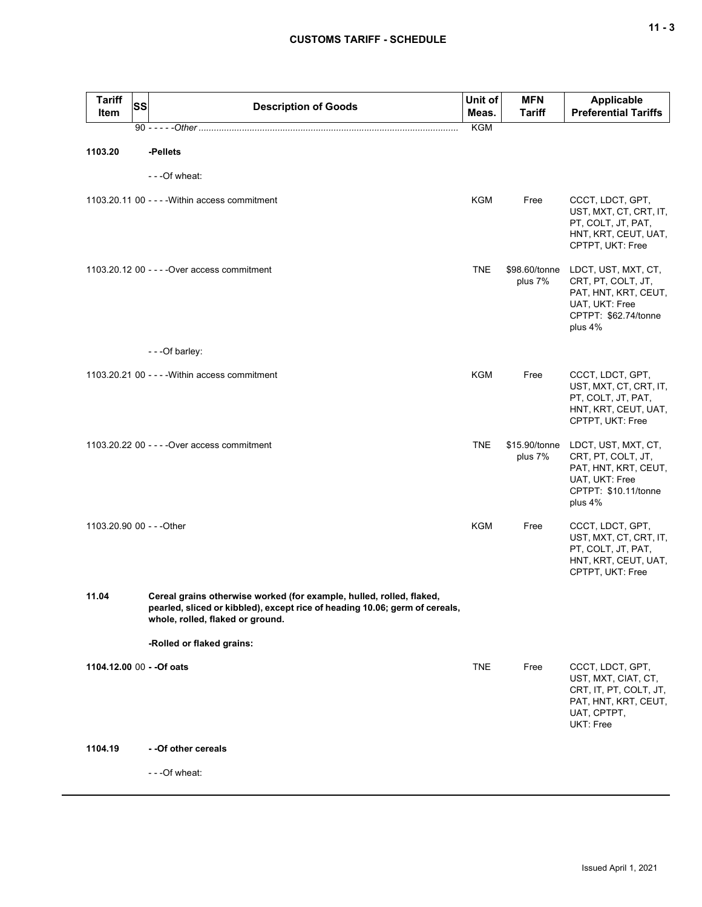| <b>Tariff</b><br>Item     | SS | <b>Description of Goods</b>                                                                                                                                                             | Unit of<br>Meas. | <b>MFN</b><br>Tariff     | <b>Applicable</b><br><b>Preferential Tariffs</b>                                                                       |
|---------------------------|----|-----------------------------------------------------------------------------------------------------------------------------------------------------------------------------------------|------------------|--------------------------|------------------------------------------------------------------------------------------------------------------------|
|                           |    |                                                                                                                                                                                         | <b>KGM</b>       |                          |                                                                                                                        |
| 1103.20                   |    | -Pellets                                                                                                                                                                                |                  |                          |                                                                                                                        |
|                           |    | - - - Of wheat:                                                                                                                                                                         |                  |                          |                                                                                                                        |
|                           |    | 1103.20.11 00 - - - - Within access commitment                                                                                                                                          | KGM              | Free                     | CCCT, LDCT, GPT,<br>UST, MXT, CT, CRT, IT,<br>PT, COLT, JT, PAT,<br>HNT, KRT, CEUT, UAT,<br>CPTPT, UKT: Free           |
|                           |    | 1103.20.12 00 - - - - Over access commitment                                                                                                                                            | <b>TNE</b>       | \$98.60/tonne<br>plus 7% | LDCT, UST, MXT, CT,<br>CRT, PT, COLT, JT,<br>PAT, HNT, KRT, CEUT,<br>UAT, UKT: Free<br>CPTPT: \$62.74/tonne<br>plus 4% |
|                           |    | - - - Of barley:                                                                                                                                                                        |                  |                          |                                                                                                                        |
|                           |    | 1103.20.21 00 - - - - Within access commitment                                                                                                                                          | <b>KGM</b>       | Free                     | CCCT, LDCT, GPT,<br>UST, MXT, CT, CRT, IT,<br>PT, COLT, JT, PAT,<br>HNT, KRT, CEUT, UAT,<br>CPTPT, UKT: Free           |
|                           |    | 1103.20.22 00 - - - - Over access commitment                                                                                                                                            | <b>TNE</b>       | \$15.90/tonne<br>plus 7% | LDCT, UST, MXT, CT,<br>CRT, PT, COLT, JT,<br>PAT, HNT, KRT, CEUT,<br>UAT, UKT: Free<br>CPTPT: \$10.11/tonne<br>plus 4% |
| 1103.20.90 00 - - - Other |    |                                                                                                                                                                                         | <b>KGM</b>       | Free                     | CCCT, LDCT, GPT,<br>UST, MXT, CT, CRT, IT,<br>PT, COLT, JT, PAT,<br>HNT, KRT, CEUT, UAT,<br>CPTPT, UKT: Free           |
| 11.04                     |    | Cereal grains otherwise worked (for example, hulled, rolled, flaked,<br>pearled, sliced or kibbled), except rice of heading 10.06; germ of cereals,<br>whole, rolled, flaked or ground. |                  |                          |                                                                                                                        |
|                           |    | -Rolled or flaked grains:                                                                                                                                                               |                  |                          |                                                                                                                        |
| 1104.12.00 00 - - Of oats |    |                                                                                                                                                                                         | <b>TNE</b>       | Free                     | CCCT, LDCT, GPT,<br>UST, MXT, CIAT, CT,<br>CRT, IT, PT, COLT, JT,<br>PAT, HNT, KRT, CEUT,<br>UAT, CPTPT,<br>UKT: Free  |
| 1104.19                   |    | - - Of other cereals                                                                                                                                                                    |                  |                          |                                                                                                                        |
|                           |    | - - - Of wheat:                                                                                                                                                                         |                  |                          |                                                                                                                        |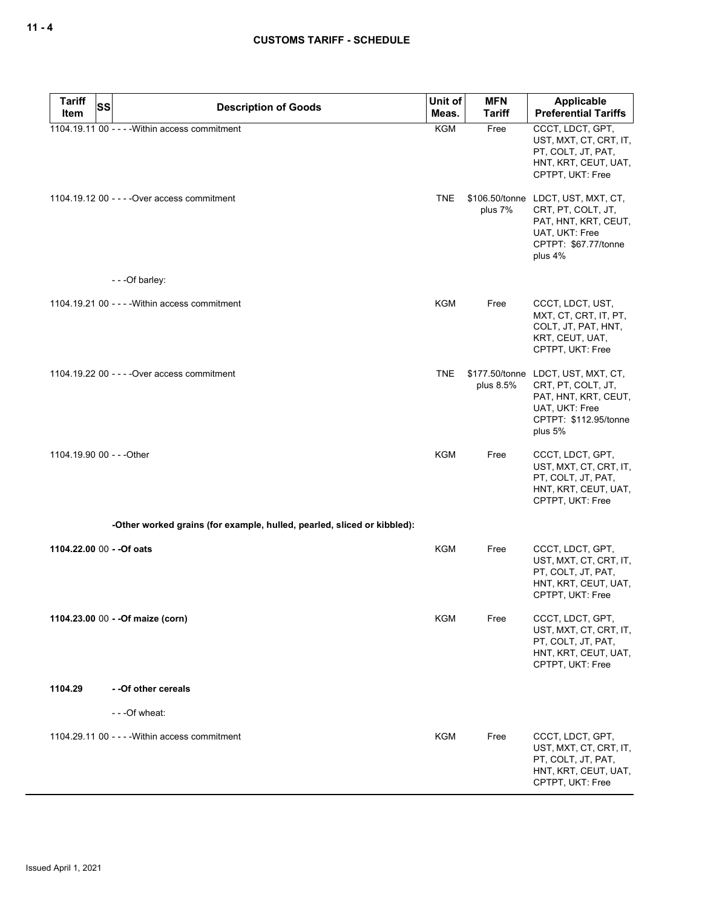| <b>Tariff</b><br><b>SS</b> | <b>Description of Goods</b>                                             | Unit of    | <b>MFN</b>    | Applicable                                                                                                                             |
|----------------------------|-------------------------------------------------------------------------|------------|---------------|----------------------------------------------------------------------------------------------------------------------------------------|
| Item                       |                                                                         | Meas.      | <b>Tariff</b> | <b>Preferential Tariffs</b>                                                                                                            |
|                            | 1104.19.11 00 - - - - Within access commitment                          | <b>KGM</b> | Free          | CCCT, LDCT, GPT,<br>UST, MXT, CT, CRT, IT,<br>PT, COLT, JT, PAT,<br>HNT, KRT, CEUT, UAT,<br>CPTPT, UKT: Free                           |
|                            | 1104.19.12 00 - - - - Over access commitment                            | <b>TNE</b> | plus 7%       | \$106.50/tonne LDCT, UST, MXT, CT,<br>CRT, PT, COLT, JT,<br>PAT, HNT, KRT, CEUT,<br>UAT, UKT: Free<br>CPTPT: \$67.77/tonne<br>plus 4%  |
|                            | - - - Of barley:                                                        |            |               |                                                                                                                                        |
|                            | 1104.19.21 00 - - - - Within access commitment                          | <b>KGM</b> | Free          | CCCT, LDCT, UST,<br>MXT, CT, CRT, IT, PT,<br>COLT, JT, PAT, HNT,<br>KRT, CEUT, UAT,<br>CPTPT, UKT: Free                                |
|                            | 1104.19.22 00 - - - - Over access commitment                            | <b>TNE</b> | plus 8.5%     | \$177.50/tonne LDCT, UST, MXT, CT,<br>CRT, PT, COLT, JT,<br>PAT, HNT, KRT, CEUT,<br>UAT, UKT: Free<br>CPTPT: \$112.95/tonne<br>plus 5% |
| 1104.19.90 00 - - - Other  |                                                                         | <b>KGM</b> | Free          | CCCT, LDCT, GPT,<br>UST, MXT, CT, CRT, IT,<br>PT, COLT, JT, PAT,<br>HNT, KRT, CEUT, UAT,<br>CPTPT, UKT: Free                           |
|                            | -Other worked grains (for example, hulled, pearled, sliced or kibbled): |            |               |                                                                                                                                        |
|                            | 1104.22.00 00 - - Of oats                                               | <b>KGM</b> | Free          | CCCT, LDCT, GPT,<br>UST, MXT, CT, CRT, IT,<br>PT, COLT, JT, PAT,<br>HNT, KRT, CEUT, UAT,<br>CPTPT, UKT: Free                           |
|                            | 1104.23.00 00 - - Of maize (corn)                                       | <b>KGM</b> | Free          | CCCT, LDCT, GPT,<br>UST, MXT, CT, CRT, IT,<br>PT, COLT, JT, PAT,<br>HNT, KRT, CEUT, UAT,<br>CPTPT, UKT: Free                           |
| 1104.29                    | - - Of other cereals                                                    |            |               |                                                                                                                                        |
|                            | - - - Of wheat:                                                         |            |               |                                                                                                                                        |
|                            | 1104.29.11 00 - - - - Within access commitment                          | <b>KGM</b> | Free          | CCCT, LDCT, GPT,<br>UST, MXT, CT, CRT, IT,<br>PT, COLT, JT, PAT,<br>HNT, KRT, CEUT, UAT,<br>CPTPT, UKT: Free                           |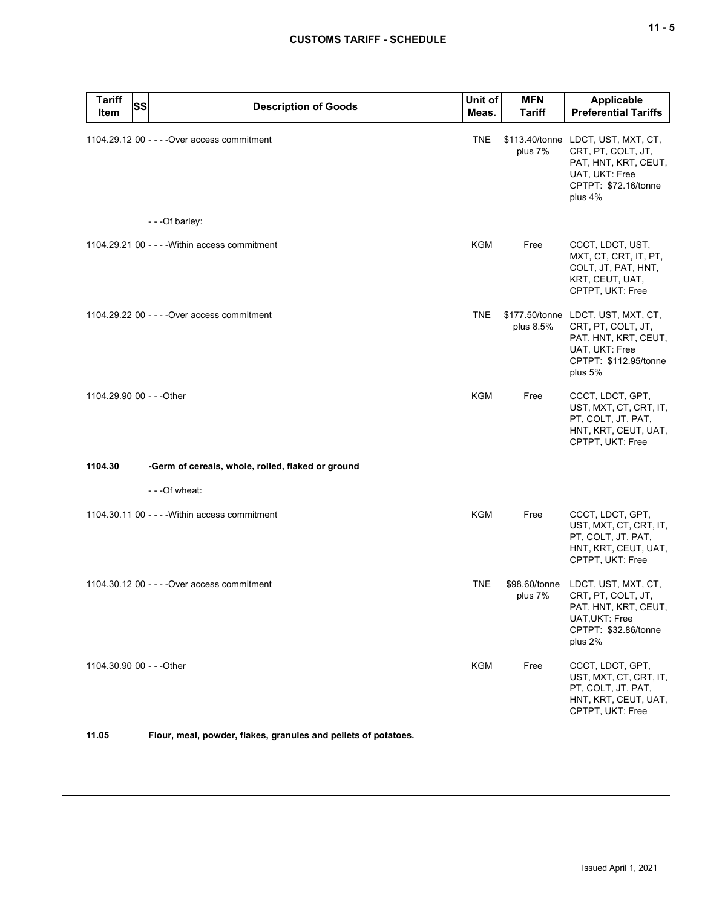# **CUSTOMS TARIFF - SCHEDULE**

| <b>Tariff</b><br>Item     | <b>SS</b> | <b>Description of Goods</b>                       | Unit of<br>Meas. | <b>MFN</b><br>Tariff     | Applicable<br><b>Preferential Tariffs</b>                                                                                              |
|---------------------------|-----------|---------------------------------------------------|------------------|--------------------------|----------------------------------------------------------------------------------------------------------------------------------------|
|                           |           | 1104.29.12 00 - - - - Over access commitment      | <b>TNE</b>       | plus 7%                  | \$113.40/tonne LDCT, UST, MXT, CT,<br>CRT, PT, COLT, JT,<br>PAT, HNT, KRT, CEUT,<br>UAT, UKT: Free<br>CPTPT: \$72.16/tonne<br>plus 4%  |
|                           |           | - - - Of barley:                                  |                  |                          |                                                                                                                                        |
|                           |           | 1104.29.21 00 - - - - Within access commitment    | <b>KGM</b>       | Free                     | CCCT, LDCT, UST,<br>MXT, CT, CRT, IT, PT,<br>COLT, JT, PAT, HNT,<br>KRT, CEUT, UAT,<br>CPTPT, UKT: Free                                |
|                           |           | 1104.29.22 00 - - - - Over access commitment      | <b>TNE</b>       | plus 8.5%                | \$177.50/tonne LDCT, UST, MXT, CT,<br>CRT, PT, COLT, JT,<br>PAT, HNT, KRT, CEUT,<br>UAT, UKT: Free<br>CPTPT: \$112.95/tonne<br>plus 5% |
| 1104.29.90 00 - - - Other |           |                                                   | <b>KGM</b>       | Free                     | CCCT, LDCT, GPT,<br>UST, MXT, CT, CRT, IT,<br>PT, COLT, JT, PAT,<br>HNT, KRT, CEUT, UAT,<br>CPTPT, UKT: Free                           |
| 1104.30                   |           | -Germ of cereals, whole, rolled, flaked or ground |                  |                          |                                                                                                                                        |
|                           |           | - - - Of wheat:                                   |                  |                          |                                                                                                                                        |
|                           |           | 1104.30.11 00 - - - - Within access commitment    | <b>KGM</b>       | Free                     | CCCT, LDCT, GPT,<br>UST, MXT, CT, CRT, IT,<br>PT, COLT, JT, PAT,<br>HNT, KRT, CEUT, UAT,<br>CPTPT, UKT: Free                           |
|                           |           | 1104.30.12 00 - - - - Over access commitment      | <b>TNE</b>       | \$98.60/tonne<br>plus 7% | LDCT, UST, MXT, CT,<br>CRT, PT, COLT, JT,<br>PAT, HNT, KRT, CEUT,<br>UAT, UKT: Free<br>CPTPT: \$32.86/tonne<br>plus 2%                 |
| 1104.30.90 00 - - - Other |           |                                                   | <b>KGM</b>       | Free                     | CCCT, LDCT, GPT,<br>UST, MXT, CT, CRT, IT,<br>PT, COLT, JT, PAT,<br>HNT, KRT, CEUT, UAT,<br>CPTPT, UKT: Free                           |

**11.05 Flour, meal, powder, flakes, granules and pellets of potatoes.**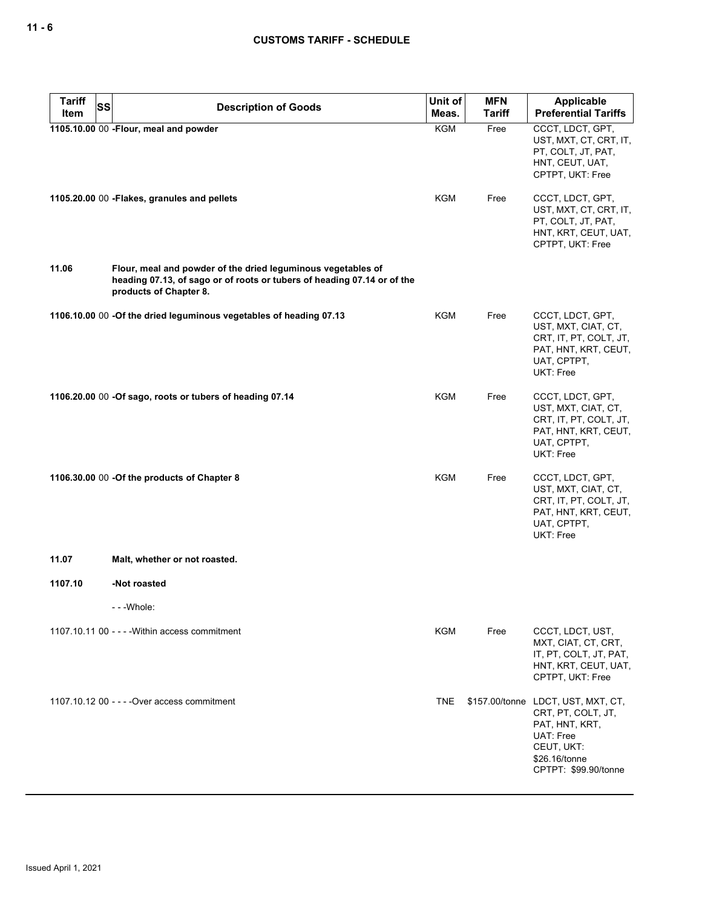| <b>Tariff</b><br>SS | <b>Description of Goods</b>                                                                                                                                       | Unit of    | <b>MFN</b>    | Applicable                                                                                                                                     |
|---------------------|-------------------------------------------------------------------------------------------------------------------------------------------------------------------|------------|---------------|------------------------------------------------------------------------------------------------------------------------------------------------|
| Item                |                                                                                                                                                                   | Meas.      | <b>Tariff</b> | <b>Preferential Tariffs</b>                                                                                                                    |
|                     | 1105.10.00 00 -Flour, meal and powder                                                                                                                             | <b>KGM</b> | Free          | CCCT, LDCT, GPT,<br>UST, MXT, CT, CRT, IT,<br>PT, COLT, JT, PAT,<br>HNT, CEUT, UAT,<br>CPTPT, UKT: Free                                        |
|                     | 1105.20.00 00 - Flakes, granules and pellets                                                                                                                      | KGM        | Free          | CCCT, LDCT, GPT,<br>UST, MXT, CT, CRT, IT,<br>PT, COLT, JT, PAT,<br>HNT, KRT, CEUT, UAT,<br>CPTPT, UKT: Free                                   |
| 11.06               | Flour, meal and powder of the dried leguminous vegetables of<br>heading 07.13, of sago or of roots or tubers of heading 07.14 or of the<br>products of Chapter 8. |            |               |                                                                                                                                                |
|                     | 1106.10.00 00 -Of the dried leguminous vegetables of heading 07.13                                                                                                | KGM        | Free          | CCCT, LDCT, GPT,<br>UST, MXT, CIAT, CT,<br>CRT, IT, PT, COLT, JT,<br>PAT, HNT, KRT, CEUT,<br>UAT, CPTPT,<br><b>UKT: Free</b>                   |
|                     | 1106.20.00 00 -Of sago, roots or tubers of heading 07.14                                                                                                          | KGM        | Free          | CCCT, LDCT, GPT,<br>UST, MXT, CIAT, CT,<br>CRT, IT, PT, COLT, JT,<br>PAT, HNT, KRT, CEUT,<br>UAT, CPTPT,<br>UKT: Free                          |
|                     | 1106.30.00 00 - Of the products of Chapter 8                                                                                                                      | <b>KGM</b> | Free          | CCCT, LDCT, GPT,<br>UST, MXT, CIAT, CT,<br>CRT, IT, PT, COLT, JT,<br>PAT, HNT, KRT, CEUT,<br>UAT, CPTPT,<br>UKT: Free                          |
| 11.07               | Malt, whether or not roasted.                                                                                                                                     |            |               |                                                                                                                                                |
| 1107.10             | -Not roasted                                                                                                                                                      |            |               |                                                                                                                                                |
|                     | - - - Whole:                                                                                                                                                      |            |               |                                                                                                                                                |
|                     | 1107.10.11 00 - - - - Within access commitment                                                                                                                    | KGM        | Free          | CCCT, LDCT, UST,<br>MXT, CIAT, CT, CRT,<br>IT, PT, COLT, JT, PAT,<br>HNT, KRT, CEUT, UAT,<br>CPTPT, UKT: Free                                  |
|                     | 1107.10.12 00 - - - - Over access commitment                                                                                                                      | <b>TNE</b> |               | \$157.00/tonne LDCT, UST, MXT, CT,<br>CRT, PT, COLT, JT,<br>PAT, HNT, KRT,<br>UAT: Free<br>CEUT, UKT:<br>\$26.16/tonne<br>CPTPT: \$99.90/tonne |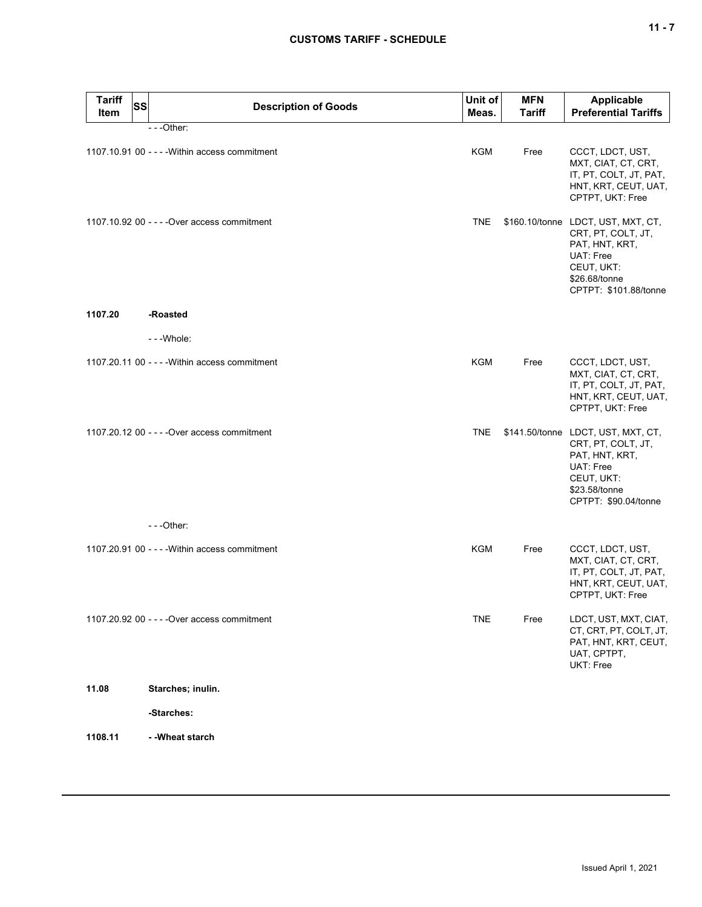| <b>Tariff</b><br>Item | SS | <b>Description of Goods</b>                    | Unit of<br>Meas. | <b>MFN</b><br><b>Tariff</b> | <b>Applicable</b><br><b>Preferential Tariffs</b>                                                                                                |
|-----------------------|----|------------------------------------------------|------------------|-----------------------------|-------------------------------------------------------------------------------------------------------------------------------------------------|
|                       |    | $- -$ Other:                                   |                  |                             |                                                                                                                                                 |
|                       |    | 1107.10.91 00 - - - - Within access commitment | <b>KGM</b>       | Free                        | CCCT, LDCT, UST,<br>MXT, CIAT, CT, CRT,<br>IT, PT, COLT, JT, PAT,<br>HNT, KRT, CEUT, UAT,<br>CPTPT, UKT: Free                                   |
|                       |    | 1107.10.92 00 - - - - Over access commitment   | <b>TNE</b>       |                             | \$160.10/tonne LDCT, UST, MXT, CT,<br>CRT, PT, COLT, JT,<br>PAT, HNT, KRT,<br>UAT: Free<br>CEUT, UKT:<br>\$26.68/tonne<br>CPTPT: \$101.88/tonne |
| 1107.20               |    | -Roasted                                       |                  |                             |                                                                                                                                                 |
|                       |    | ---Whole:                                      |                  |                             |                                                                                                                                                 |
|                       |    | 1107.20.11 00 - - - - Within access commitment | KGM              | Free                        | CCCT, LDCT, UST,<br>MXT, CIAT, CT, CRT,<br>IT, PT, COLT, JT, PAT,<br>HNT, KRT, CEUT, UAT,<br>CPTPT, UKT: Free                                   |
|                       |    | 1107.20.12 00 - - - - Over access commitment   | <b>TNE</b>       |                             | \$141.50/tonne LDCT, UST, MXT, CT,<br>CRT, PT, COLT, JT,<br>PAT, HNT, KRT,<br>UAT: Free<br>CEUT, UKT:<br>\$23.58/tonne<br>CPTPT: \$90.04/tonne  |
|                       |    | ---Other:                                      |                  |                             |                                                                                                                                                 |
|                       |    | 1107.20.91 00 - - - - Within access commitment | KGM              | Free                        | CCCT, LDCT, UST,<br>MXT, CIAT, CT, CRT,<br>IT, PT, COLT, JT, PAT,<br>HNT, KRT, CEUT, UAT,<br>CPTPT, UKT: Free                                   |
|                       |    | 1107.20.92 00 - - - - Over access commitment   | <b>TNE</b>       | Free                        | LDCT, UST, MXT, CIAT,<br>CT, CRT, PT, COLT, JT,<br>PAT, HNT, KRT, CEUT,<br>UAT, CPTPT,<br>UKT: Free                                             |
| 11.08                 |    | Starches; inulin.                              |                  |                             |                                                                                                                                                 |
|                       |    | -Starches:                                     |                  |                             |                                                                                                                                                 |
| 1108.11               |    | - - Wheat starch                               |                  |                             |                                                                                                                                                 |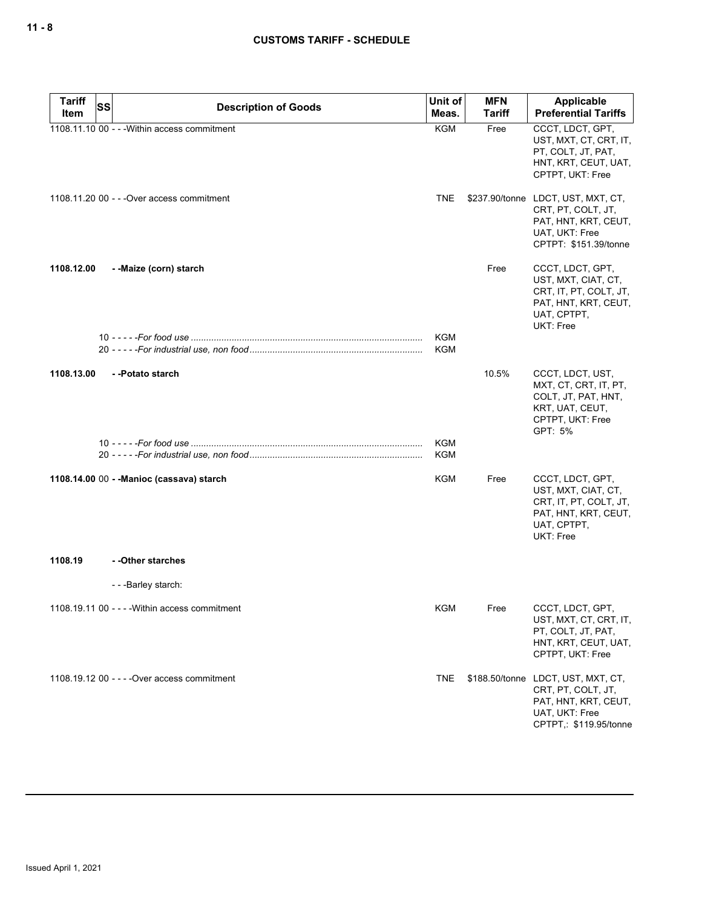| <b>Tariff</b><br><b>SS</b> | <b>Description of Goods</b>                    | Unit of                  | <b>MFN</b>    | Applicable                                                                                                                   |
|----------------------------|------------------------------------------------|--------------------------|---------------|------------------------------------------------------------------------------------------------------------------------------|
| Item                       |                                                | Meas.                    | <b>Tariff</b> | <b>Preferential Tariffs</b>                                                                                                  |
|                            | 1108.11.10 00 - - - Within access commitment   | <b>KGM</b>               | Free          | CCCT, LDCT, GPT,<br>UST, MXT, CT, CRT, IT,<br>PT, COLT, JT, PAT,<br>HNT, KRT, CEUT, UAT,<br>CPTPT, UKT: Free                 |
|                            | 1108.11.20 00 - - - Over access commitment     | <b>TNE</b>               |               | \$237.90/tonne LDCT, UST, MXT, CT,<br>CRT, PT, COLT, JT,<br>PAT, HNT, KRT, CEUT,<br>UAT, UKT: Free<br>CPTPT: \$151.39/tonne  |
| 1108.12.00                 | --Maize (corn) starch                          |                          | Free          | CCCT, LDCT, GPT,<br>UST, MXT, CIAT, CT,<br>CRT, IT, PT, COLT, JT,<br>PAT, HNT, KRT, CEUT,<br>UAT, CPTPT,<br>UKT: Free        |
|                            |                                                | <b>KGM</b><br><b>KGM</b> |               |                                                                                                                              |
| 1108.13.00                 | --Potato starch                                |                          | 10.5%         | CCCT, LDCT, UST,<br>MXT, CT, CRT, IT, PT,<br>COLT, JT, PAT, HNT,<br>KRT, UAT, CEUT,<br>CPTPT, UKT: Free<br>GPT: 5%           |
|                            |                                                | KGM<br>KGM               |               |                                                                                                                              |
|                            | 1108.14.00 00 - - Manioc (cassava) starch      | <b>KGM</b>               | Free          | CCCT, LDCT, GPT,<br>UST, MXT, CIAT, CT,<br>CRT, IT, PT, COLT, JT,<br>PAT, HNT, KRT, CEUT,<br>UAT, CPTPT,<br>UKT: Free        |
| 1108.19                    | --Other starches                               |                          |               |                                                                                                                              |
|                            | - - - Barley starch:                           |                          |               |                                                                                                                              |
|                            | 1108.19.11 00 - - - - Within access commitment | KGM                      | Free          | CCCT, LDCT, GPT,<br>UST, MXT, CT, CRT, IT,<br>PT, COLT, JT, PAT,<br>HNT, KRT, CEUT, UAT,<br>CPTPT, UKT: Free                 |
|                            | 1108.19.12 00 - - - - Over access commitment   | <b>TNE</b>               |               | \$188.50/tonne LDCT, UST, MXT, CT,<br>CRT, PT, COLT, JT,<br>PAT, HNT, KRT, CEUT,<br>UAT, UKT: Free<br>CPTPT,: \$119.95/tonne |